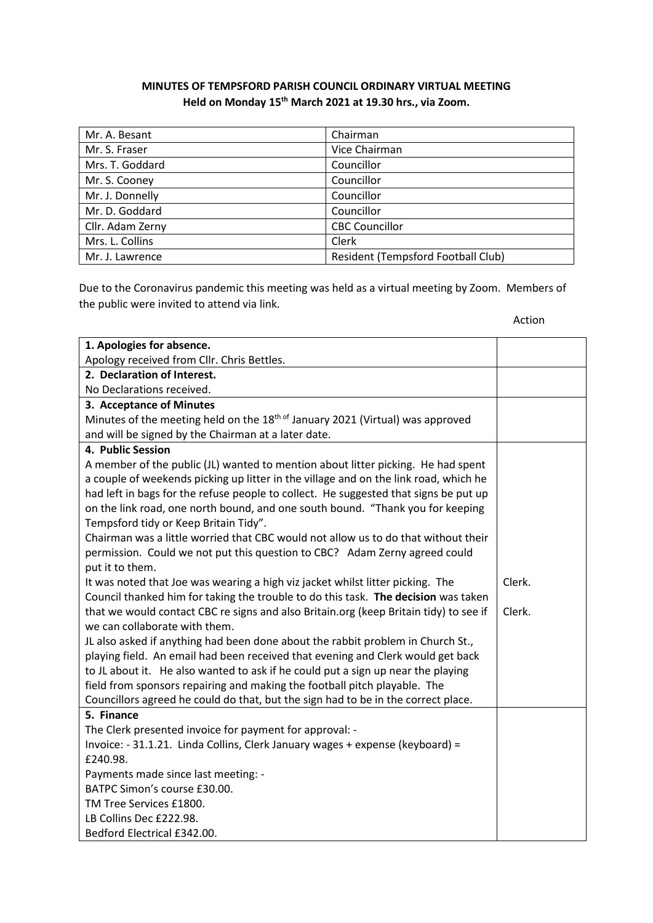## **MINUTES OF TEMPSFORD PARISH COUNCIL ORDINARY VIRTUAL MEETING Held on Monday 15th March 2021 at 19.30 hrs., via Zoom.**

| Mr. A. Besant    | Chairman                           |
|------------------|------------------------------------|
| Mr. S. Fraser    | Vice Chairman                      |
| Mrs. T. Goddard  | Councillor                         |
| Mr. S. Cooney    | Councillor                         |
| Mr. J. Donnelly  | Councillor                         |
| Mr. D. Goddard   | Councillor                         |
| Cllr. Adam Zerny | <b>CBC Councillor</b>              |
| Mrs. L. Collins  | Clerk                              |
| Mr. J. Lawrence  | Resident (Tempsford Football Club) |

Due to the Coronavirus pandemic this meeting was held as a virtual meeting by Zoom. Members of the public were invited to attend via link.

| 1. Apologies for absence.                                                                  |        |
|--------------------------------------------------------------------------------------------|--------|
| Apology received from Cllr. Chris Bettles.                                                 |        |
| 2. Declaration of Interest.                                                                |        |
| No Declarations received.                                                                  |        |
| 3. Acceptance of Minutes                                                                   |        |
| Minutes of the meeting held on the 18 <sup>th of</sup> January 2021 (Virtual) was approved |        |
| and will be signed by the Chairman at a later date.                                        |        |
| 4. Public Session                                                                          |        |
| A member of the public (JL) wanted to mention about litter picking. He had spent           |        |
| a couple of weekends picking up litter in the village and on the link road, which he       |        |
| had left in bags for the refuse people to collect. He suggested that signs be put up       |        |
| on the link road, one north bound, and one south bound. "Thank you for keeping             |        |
| Tempsford tidy or Keep Britain Tidy".                                                      |        |
| Chairman was a little worried that CBC would not allow us to do that without their         |        |
| permission. Could we not put this question to CBC? Adam Zerny agreed could                 |        |
| put it to them.                                                                            |        |
| It was noted that Joe was wearing a high viz jacket whilst litter picking. The             | Clerk. |
| Council thanked him for taking the trouble to do this task. The decision was taken         |        |
| that we would contact CBC re signs and also Britain.org (keep Britain tidy) to see if      | Clerk. |
| we can collaborate with them.                                                              |        |
| JL also asked if anything had been done about the rabbit problem in Church St.,            |        |
| playing field. An email had been received that evening and Clerk would get back            |        |
| to JL about it. He also wanted to ask if he could put a sign up near the playing           |        |
| field from sponsors repairing and making the football pitch playable. The                  |        |
| Councillors agreed he could do that, but the sign had to be in the correct place.          |        |
| 5. Finance                                                                                 |        |
| The Clerk presented invoice for payment for approval: -                                    |        |
| Invoice: - 31.1.21. Linda Collins, Clerk January wages + expense (keyboard) =              |        |
| £240.98.                                                                                   |        |
| Payments made since last meeting: -                                                        |        |
| BATPC Simon's course £30.00.                                                               |        |
| TM Tree Services £1800.                                                                    |        |
| LB Collins Dec £222.98.                                                                    |        |
| Bedford Electrical £342.00.                                                                |        |
|                                                                                            |        |

Action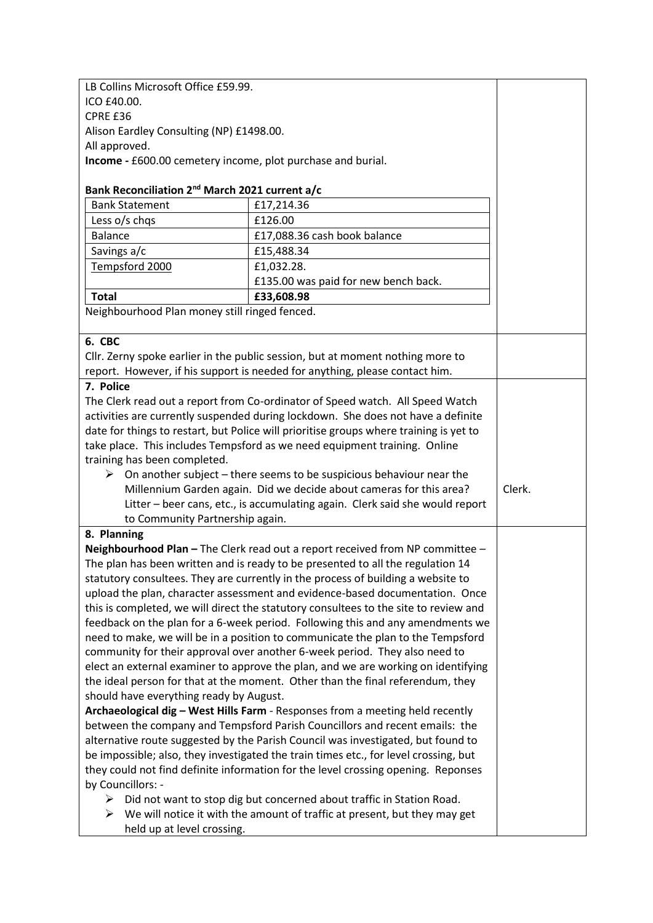LB Collins Microsoft Office £59.99. ICO £40.00. CPRE £36 Alison Eardley Consulting (NP) £1498.00. All approved. **Income -** £600.00 cemetery income, plot purchase and burial.

## **Bank Reconciliation 2nd March 2021 current a/c**

| £17,214.36<br><b>Bank Statement</b>                                                             |  |
|-------------------------------------------------------------------------------------------------|--|
|                                                                                                 |  |
| £126.00<br>Less o/s chqs                                                                        |  |
| <b>Balance</b><br>£17,088.36 cash book balance                                                  |  |
| Savings a/c<br>£15,488.34                                                                       |  |
| Tempsford 2000<br>£1,032.28.                                                                    |  |
| £135.00 was paid for new bench back.                                                            |  |
| <b>Total</b><br>£33,608.98                                                                      |  |
| Neighbourhood Plan money still ringed fenced.                                                   |  |
|                                                                                                 |  |
| 6. CBC                                                                                          |  |
| Cllr. Zerny spoke earlier in the public session, but at moment nothing more to                  |  |
| report. However, if his support is needed for anything, please contact him.                     |  |
| 7. Police                                                                                       |  |
| The Clerk read out a report from Co-ordinator of Speed watch. All Speed Watch                   |  |
| activities are currently suspended during lockdown. She does not have a definite                |  |
| date for things to restart, but Police will prioritise groups where training is yet to          |  |
| take place. This includes Tempsford as we need equipment training. Online                       |  |
| training has been completed.                                                                    |  |
| On another subject - there seems to be suspicious behaviour near the<br>➤                       |  |
| Millennium Garden again. Did we decide about cameras for this area?<br>Clerk.                   |  |
| Litter - beer cans, etc., is accumulating again. Clerk said she would report                    |  |
| to Community Partnership again.                                                                 |  |
| 8. Planning                                                                                     |  |
| Neighbourhood Plan - The Clerk read out a report received from NP committee -                   |  |
| The plan has been written and is ready to be presented to all the regulation 14                 |  |
| statutory consultees. They are currently in the process of building a website to                |  |
| upload the plan, character assessment and evidence-based documentation. Once                    |  |
| this is completed, we will direct the statutory consultees to the site to review and            |  |
|                                                                                                 |  |
| feedback on the plan for a 6-week period. Following this and any amendments we                  |  |
| need to make, we will be in a position to communicate the plan to the Tempsford                 |  |
| community for their approval over another 6-week period. They also need to                      |  |
| elect an external examiner to approve the plan, and we are working on identifying               |  |
| the ideal person for that at the moment. Other than the final referendum, they                  |  |
| should have everything ready by August.                                                         |  |
| Archaeological dig - West Hills Farm - Responses from a meeting held recently                   |  |
| between the company and Tempsford Parish Councillors and recent emails: the                     |  |
| alternative route suggested by the Parish Council was investigated, but found to                |  |
| be impossible; also, they investigated the train times etc., for level crossing, but            |  |
| they could not find definite information for the level crossing opening. Reponses               |  |
| by Councillors: -<br>Did not want to stop dig but concerned about traffic in Station Road.<br>➤ |  |

held up at level crossing.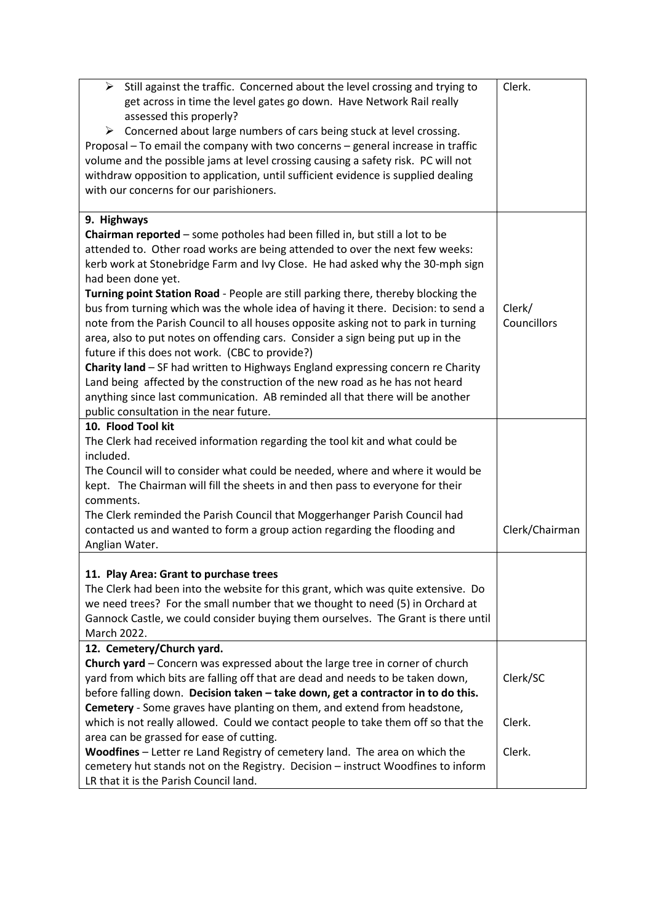| Still against the traffic. Concerned about the level crossing and trying to<br>➤<br>get across in time the level gates go down. Have Network Rail really<br>assessed this properly?<br>Concerned about large numbers of cars being stuck at level crossing.<br>➤<br>Proposal - To email the company with two concerns - general increase in traffic<br>volume and the possible jams at level crossing causing a safety risk. PC will not                                                                                                                                                                                                                                                                                                                                                                                                                                                                                                                                                                  | Clerk.                |
|-----------------------------------------------------------------------------------------------------------------------------------------------------------------------------------------------------------------------------------------------------------------------------------------------------------------------------------------------------------------------------------------------------------------------------------------------------------------------------------------------------------------------------------------------------------------------------------------------------------------------------------------------------------------------------------------------------------------------------------------------------------------------------------------------------------------------------------------------------------------------------------------------------------------------------------------------------------------------------------------------------------|-----------------------|
| withdraw opposition to application, until sufficient evidence is supplied dealing<br>with our concerns for our parishioners.                                                                                                                                                                                                                                                                                                                                                                                                                                                                                                                                                                                                                                                                                                                                                                                                                                                                              |                       |
| 9. Highways<br>Chairman reported - some potholes had been filled in, but still a lot to be<br>attended to. Other road works are being attended to over the next few weeks:<br>kerb work at Stonebridge Farm and Ivy Close. He had asked why the 30-mph sign<br>had been done yet.<br>Turning point Station Road - People are still parking there, thereby blocking the<br>bus from turning which was the whole idea of having it there. Decision: to send a<br>note from the Parish Council to all houses opposite asking not to park in turning<br>area, also to put notes on offending cars. Consider a sign being put up in the<br>future if this does not work. (CBC to provide?)<br>Charity land - SF had written to Highways England expressing concern re Charity<br>Land being affected by the construction of the new road as he has not heard<br>anything since last communication. AB reminded all that there will be another<br>public consultation in the near future.<br>10. Flood Tool kit | Clerk/<br>Councillors |
| The Clerk had received information regarding the tool kit and what could be<br>included.<br>The Council will to consider what could be needed, where and where it would be<br>kept. The Chairman will fill the sheets in and then pass to everyone for their<br>comments.                                                                                                                                                                                                                                                                                                                                                                                                                                                                                                                                                                                                                                                                                                                                 |                       |
| The Clerk reminded the Parish Council that Moggerhanger Parish Council had<br>contacted us and wanted to form a group action regarding the flooding and<br>Anglian Water.                                                                                                                                                                                                                                                                                                                                                                                                                                                                                                                                                                                                                                                                                                                                                                                                                                 | Clerk/Chairman        |
| 11. Play Area: Grant to purchase trees<br>The Clerk had been into the website for this grant, which was quite extensive. Do<br>we need trees? For the small number that we thought to need (5) in Orchard at<br>Gannock Castle, we could consider buying them ourselves. The Grant is there until<br>March 2022.                                                                                                                                                                                                                                                                                                                                                                                                                                                                                                                                                                                                                                                                                          |                       |
| 12. Cemetery/Church yard.<br>Church yard - Concern was expressed about the large tree in corner of church<br>yard from which bits are falling off that are dead and needs to be taken down,<br>before falling down. Decision taken - take down, get a contractor in to do this.                                                                                                                                                                                                                                                                                                                                                                                                                                                                                                                                                                                                                                                                                                                           | Clerk/SC              |
| Cemetery - Some graves have planting on them, and extend from headstone,<br>which is not really allowed. Could we contact people to take them off so that the<br>area can be grassed for ease of cutting.                                                                                                                                                                                                                                                                                                                                                                                                                                                                                                                                                                                                                                                                                                                                                                                                 | Clerk.                |
| Woodfines - Letter re Land Registry of cemetery land. The area on which the<br>cemetery hut stands not on the Registry. Decision - instruct Woodfines to inform<br>LR that it is the Parish Council land.                                                                                                                                                                                                                                                                                                                                                                                                                                                                                                                                                                                                                                                                                                                                                                                                 | Clerk.                |